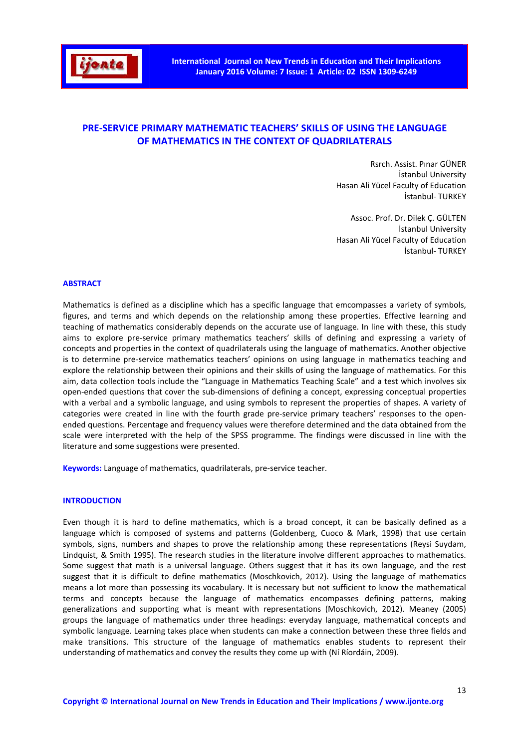

# **PRE-SERVICE PRIMARY MATHEMATIC TEACHERS' SKILLS OF USING THE LANGUAGE OF MATHEMATICS IN THE CONTEXT OF QUADRILATERALS**

Rsrch. Assist. Pınar GÜNER İstanbul University Hasan Ali Yücel Faculty of Education İstanbul- TURKEY

Assoc. Prof. Dr. Dilek Ç. GÜLTEN İstanbul University Hasan Ali Yücel Faculty of Education İstanbul- TURKEY

## **ABSTRACT**

Mathematics is defined as a discipline which has a specific language that emcompasses a variety of symbols, figures, and terms and which depends on the relationship among these properties. Effective learning and teaching of mathematics considerably depends on the accurate use of language. In line with these, this study aims to explore pre-service primary mathematics teachers' skills of defining and expressing a variety of concepts and properties in the context of quadrilaterals using the language of mathematics. Another objective is to determine pre-service mathematics teachers' opinions on using language in mathematics teaching and explore the relationship between their opinions and their skills of using the language of mathematics. For this aim, data collection tools include the "Language in Mathematics Teaching Scale" and a test which involves six open-ended questions that cover the sub-dimensions of defining a concept, expressing conceptual properties with a verbal and a symbolic language, and using symbols to represent the properties of shapes. A variety of categories were created in line with the fourth grade pre-service primary teachers' responses to the openended questions. Percentage and frequency values were therefore determined and the data obtained from the scale were interpreted with the help of the SPSS programme. The findings were discussed in line with the literature and some suggestions were presented.

**Keywords:** Language of mathematics, quadrilaterals, pre-service teacher.

## **INTRODUCTION**

Even though it is hard to define mathematics, which is a broad concept, it can be basically defined as a language which is composed of systems and patterns (Goldenberg, Cuoco & Mark, 1998) that use certain symbols, signs, numbers and shapes to prove the relationship among these representations (Reysi Suydam, Lindquist, & Smith 1995). The research studies in the literature involve different approaches to mathematics. Some suggest that math is a universal language. Others suggest that it has its own language, and the rest suggest that it is difficult to define mathematics (Moschkovich, 2012). Using the language of mathematics means a lot more than possessing its vocabulary. It is necessary but not sufficient to know the mathematical terms and concepts because the language of mathematics encompasses defining patterns, making generalizations and supporting what is meant with representations (Moschkovich, 2012). Meaney (2005) groups the language of mathematics under three headings: everyday language, mathematical concepts and symbolic language. Learning takes place when students can make a connection between these three fields and make transitions. This structure of the language of mathematics enables students to represent their understanding of mathematics and convey the results they come up with (Ní Ríordáin, 2009).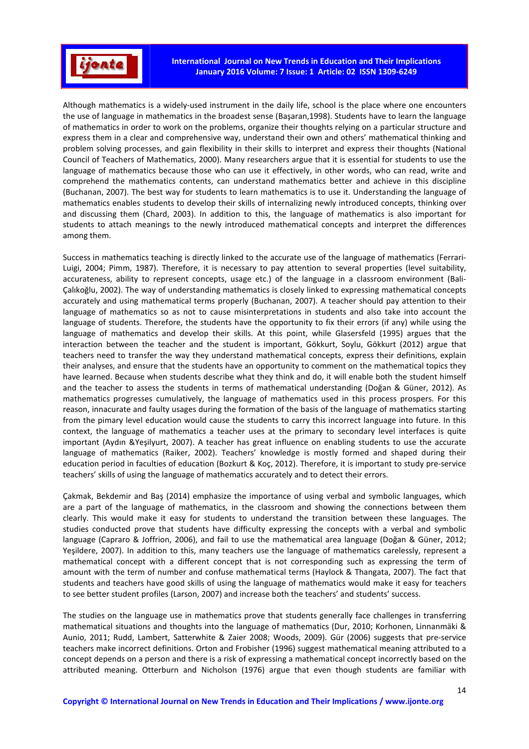

Although mathematics is a widely-used instrument in the daily life, school is the place where one encounters the use of language in mathematics in the broadest sense (Başaran,1998). Students have to learn the language of mathematics in order to work on the problems, organize their thoughts relying on a particular structure and express them in a clear and comprehensive way, understand their own and others' mathematical thinking and problem solving processes, and gain flexibility in their skills to interpret and express their thoughts (National Council of Teachers of Mathematics, 2000). Many researchers argue that it is essential for students to use the language of mathematics because those who can use it effectively, in other words, who can read, write and comprehend the mathematics contents, can understand mathematics better and achieve in this discipline (Buchanan, 2007). The best way for students to learn mathematics is to use it. Understanding the language of mathematics enables students to develop their skills of internalizing newly introduced concepts, thinking over and discussing them (Chard, 2003). In addition to this, the language of mathematics is also important for students to attach meanings to the newly introduced mathematical concepts and interpret the differences among them.

Success in mathematics teaching is directly linked to the accurate use of the language of mathematics (Ferrari-Luigi, 2004; Pimm, 1987). Therefore, it is necessary to pay attention to several properties (level suitability, accurateness, ability to represent concepts, usage etc.) of the language in a classroom environment (Bali-Çalıkoğlu, 2002). The way of understanding mathematics is closely linked to expressing mathematical concepts accurately and using mathematical terms properly (Buchanan, 2007). A teacher should pay attention to their language of mathematics so as not to cause misinterpretations in students and also take into account the language of students. Therefore, the students have the opportunity to fix their errors (if any) while using the language of mathematics and develop their skills. At this point, while Glasersfeld (1995) argues that the interaction between the teacher and the student is important, Gökkurt, Soylu, Gökkurt (2012) argue that teachers need to transfer the way they understand mathematical concepts, express their definitions, explain their analyses, and ensure that the students have an opportunity to comment on the mathematical topics they have learned. Because when students describe what they think and do, it will enable both the student himself and the teacher to assess the students in terms of mathematical understanding (Doğan & Güner, 2012). As mathematics progresses cumulatively, the language of mathematics used in this process prospers. For this reason, innacurate and faulty usages during the formation of the basis of the language of mathematics starting from the pimary level education would cause the students to carry this incorrect language into future. In this context, the language of mathematics a teacher uses at the primary to secondary level interfaces is quite important (Aydın &Yeşilyurt, 2007). A teacher has great influence on enabling students to use the accurate language of mathematics (Raiker, 2002). Teachers' knowledge is mostly formed and shaped during their education period in faculties of education (Bozkurt & Koç, 2012). Therefore, it is important to study pre-service teachers' skills of using the language of mathematics accurately and to detect their errors.

Çakmak, Bekdemir and Baş (2014) emphasize the importance of using verbal and symbolic languages, which are a part of the language of mathematics, in the classroom and showing the connections between them clearly. This would make it easy for students to understand the transition between these languages. The studies conducted prove that students have difficulty expressing the concepts with a verbal and symbolic language (Capraro & Joffrion, 2006), and fail to use the mathematical area language (Doğan & Güner, 2012; Yeşildere, 2007). In addition to this, many teachers use the language of mathematics carelessly, represent a mathematical concept with a different concept that is not corresponding such as expressing the term of amount with the term of number and confuse mathematical terms (Haylock & Thangata, 2007). The fact that students and teachers have good skills of using the language of mathematics would make it easy for teachers to see better student profiles (Larson, 2007) and increase both the teachers' and students' success.

The studies on the language use in mathematics prove that students generally face challenges in transferring mathematical situations and thoughts into the language of mathematics (Dur, 2010; Korhonen, Linnanmäki & Aunio, 2011; Rudd, Lambert, Satterwhite & Zaier 2008; Woods, 2009). Gür (2006) suggests that pre-service teachers make incorrect definitions. Orton and Frobisher (1996) suggest mathematical meaning attributed to a concept depends on a person and there is a risk of expressing a mathematical concept incorrectly based on the attributed meaning. Otterburn and Nicholson (1976) argue that even though students are familiar with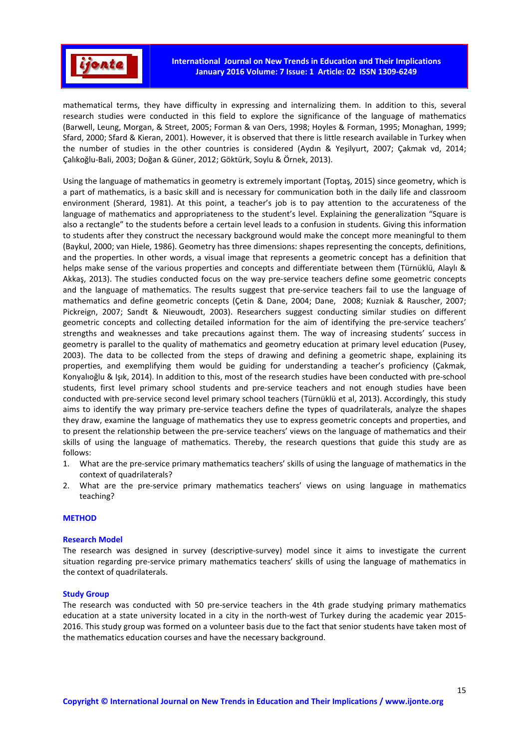

mathematical terms, they have difficulty in expressing and internalizing them. In addition to this, several research studies were conducted in this field to explore the significance of the language of mathematics (Barwell, Leung, Morgan, & Street, 2005; Forman & van Oers, 1998; Hoyles & Forman, 1995; Monaghan, 1999; Sfard, 2000; Sfard & Kieran, 2001). However, it is observed that there is little research available in Turkey when the number of studies in the other countries is considered (Aydın & Yeşilyurt, 2007; Çakmak vd, 2014; Çalıkoğlu-Bali, 2003; Doğan & Güner, 2012; Göktürk, Soylu & Örnek, 2013).

Using the language of mathematics in geometry is extremely important (Toptaş, 2015) since geometry, which is a part of mathematics, is a basic skill and is necessary for communication both in the daily life and classroom environment (Sherard, 1981). At this point, a teacher's job is to pay attention to the accurateness of the language of mathematics and appropriateness to the student's level. Explaining the generalization "Square is also a rectangle" to the students before a certain level leads to a confusion in students. Giving this information to students after they construct the necessary background would make the concept more meaningful to them (Baykul, 2000; van Hiele, 1986). Geometry has three dimensions: shapes representing the concepts, definitions, and the properties. In other words, a visual image that represents a geometric concept has a definition that helps make sense of the various properties and concepts and differentiate between them (Türnüklü, Alaylı & Akkaş, 2013). The studies conducted focus on the way pre-service teachers define some geometric concepts and the language of mathematics. The results suggest that pre-service teachers fail to use the language of mathematics and define geometric concepts (Çetin & Dane, 2004; Dane, 2008; Kuzniak & Rauscher, 2007; Pickreign, 2007; Sandt & Nieuwoudt, 2003). Researchers suggest conducting similar studies on different geometric concepts and collecting detailed information for the aim of identifying the pre-service teachers' strengths and weaknesses and take precautions against them. The way of increasing students' success in geometry is parallel to the quality of mathematics and geometry education at primary level education (Pusey, 2003). The data to be collected from the steps of drawing and defining a geometric shape, explaining its properties, and exemplifying them would be guiding for understanding a teacher's proficiency (Çakmak, Konyalıoğlu & Işık, 2014). In addition to this, most of the research studies have been conducted with pre-school students, first level primary school students and pre-service teachers and not enough studies have been conducted with pre-service second level primary school teachers (Türnüklü et al, 2013). Accordingly, this study aims to identify the way primary pre-service teachers define the types of quadrilaterals, analyze the shapes they draw, examine the language of mathematics they use to express geometric concepts and properties, and to present the relationship between the pre-service teachers' views on the language of mathematics and their skills of using the language of mathematics. Thereby, the research questions that guide this study are as follows:

- 1. What are the pre-service primary mathematics teachers' skills of using the language of mathematics in the context of quadrilaterals?
- 2. What are the pre-service primary mathematics teachers' views on using language in mathematics teaching?

## **METHOD**

### **Research Model**

The research was designed in survey (descriptive-survey) model since it aims to investigate the current situation regarding pre-service primary mathematics teachers' skills of using the language of mathematics in the context of quadrilaterals.

#### **Study Group**

The research was conducted with 50 pre-service teachers in the 4th grade studying primary mathematics education at a state university located in a city in the north-west of Turkey during the academic year 2015- 2016. This study group was formed on a volunteer basis due to the fact that senior students have taken most of the mathematics education courses and have the necessary background.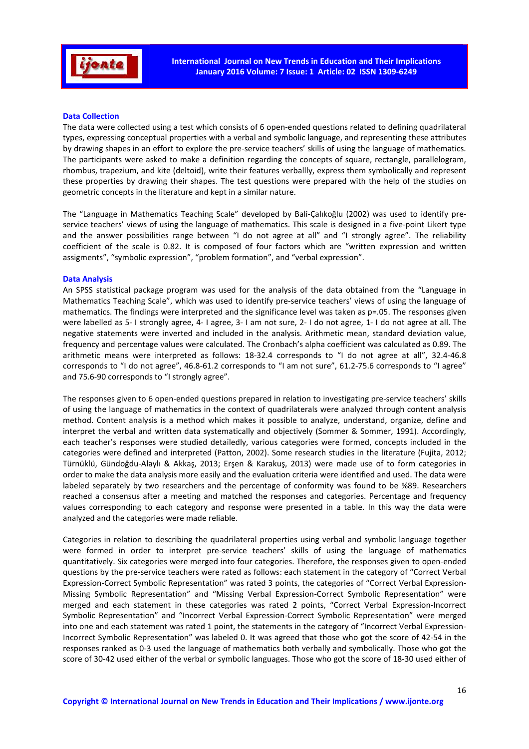

## **Data Collection**

The data were collected using a test which consists of 6 open-ended questions related to defining quadrilateral types, expressing conceptual properties with a verbal and symbolic language, and representing these attributes by drawing shapes in an effort to explore the pre-service teachers' skills of using the language of mathematics. The participants were asked to make a definition regarding the concepts of square, rectangle, parallelogram, rhombus, trapezium, and kite (deltoid), write their features verballly, express them symbolically and represent these properties by drawing their shapes. The test questions were prepared with the help of the studies on geometric concepts in the literature and kept in a similar nature.

The "Language in Mathematics Teaching Scale" developed by Bali-Çalıkoğlu (2002) was used to identify preservice teachers' views of using the language of mathematics. This scale is designed in a five-point Likert type and the answer possibilities range between "I do not agree at all" and "I strongly agree". The reliability coefficient of the scale is 0.82. It is composed of four factors which are "written expression and written assigments", "symbolic expression", "problem formation", and "verbal expression".

## **Data Analysis**

An SPSS statistical package program was used for the analysis of the data obtained from the "Language in Mathematics Teaching Scale", which was used to identify pre-service teachers' views of using the language of mathematics. The findings were interpreted and the significance level was taken as p=.05. The responses given were labelled as 5- I strongly agree, 4- I agree, 3- I am not sure, 2- I do not agree, 1- I do not agree at all. The negative statements were inverted and included in the analysis. Arithmetic mean, standard deviation value, frequency and percentage values were calculated. The Cronbach's alpha coefficient was calculated as 0.89. The arithmetic means were interpreted as follows: 18-32.4 corresponds to "I do not agree at all", 32.4-46.8 corresponds to "I do not agree", 46.8-61.2 corresponds to "I am not sure", 61.2-75.6 corresponds to "I agree" and 75.6-90 corresponds to "I strongly agree".

The responses given to 6 open-ended questions prepared in relation to investigating pre-service teachers' skills of using the language of mathematics in the context of quadrilaterals were analyzed through content analysis method. Content analysis is a method which makes it possible to analyze, understand, organize, define and interpret the verbal and written data systematically and objectively (Sommer & Sommer, 1991). Accordingly, each teacher's responses were studied detailedly, various categories were formed, concepts included in the categories were defined and interpreted (Patton, 2002). Some research studies in the literature (Fujita, 2012; Türnüklü, Gündoğdu-Alaylı & Akkaş, 2013; Erşen & Karakuş, 2013) were made use of to form categories in order to make the data analysis more easily and the evaluation criteria were identified and used. The data were labeled separately by two researchers and the percentage of conformity was found to be %89. Researchers reached a consensus after a meeting and matched the responses and categories. Percentage and frequency values corresponding to each category and response were presented in a table. In this way the data were analyzed and the categories were made reliable.

Categories in relation to describing the quadrilateral properties using verbal and symbolic language together were formed in order to interpret pre-service teachers' skills of using the language of mathematics quantitatively. Six categories were merged into four categories. Therefore, the responses given to open-ended questions by the pre-service teachers were rated as follows: each statement in the category of "Correct Verbal Expression-Correct Symbolic Representation" was rated 3 points, the categories of "Correct Verbal Expression-Missing Symbolic Representation" and "Missing Verbal Expression-Correct Symbolic Representation" were merged and each statement in these categories was rated 2 points, "Correct Verbal Expression-Incorrect Symbolic Representation" and "Incorrect Verbal Expression-Correct Symbolic Representation" were merged into one and each statement was rated 1 point, the statements in the category of "Incorrect Verbal Expression-Incorrect Symbolic Representation" was labeled 0. It was agreed that those who got the score of 42-54 in the responses ranked as 0-3 used the language of mathematics both verbally and symbolically. Those who got the score of 30-42 used either of the verbal or symbolic languages. Those who got the score of 18-30 used either of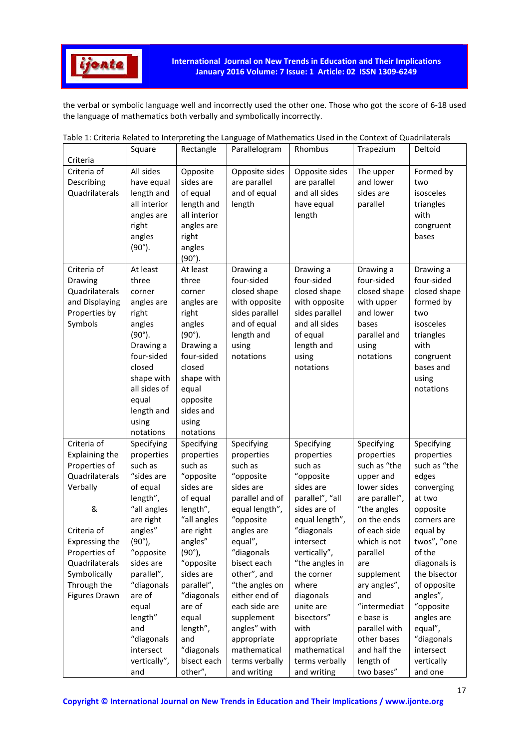

the verbal or symbolic language well and incorrectly used the other one. Those who got the score of 6-18 used the language of mathematics both verbally and symbolically incorrectly.

|                                                                                                                                                                                                              | Square                                                                                                                                                                                                                                                     | Rectangle                                                                                                                                                                                                                                                  | Parallelogram                                                                                                                                                                                                                                                                                         | Rhombus                                                                                                                                                                                                                                                                               | Trapezium                                                                                                                                                                                                                                                                                 | Deltoid                                                                                                                                                                                                                                                               |
|--------------------------------------------------------------------------------------------------------------------------------------------------------------------------------------------------------------|------------------------------------------------------------------------------------------------------------------------------------------------------------------------------------------------------------------------------------------------------------|------------------------------------------------------------------------------------------------------------------------------------------------------------------------------------------------------------------------------------------------------------|-------------------------------------------------------------------------------------------------------------------------------------------------------------------------------------------------------------------------------------------------------------------------------------------------------|---------------------------------------------------------------------------------------------------------------------------------------------------------------------------------------------------------------------------------------------------------------------------------------|-------------------------------------------------------------------------------------------------------------------------------------------------------------------------------------------------------------------------------------------------------------------------------------------|-----------------------------------------------------------------------------------------------------------------------------------------------------------------------------------------------------------------------------------------------------------------------|
| Criteria                                                                                                                                                                                                     |                                                                                                                                                                                                                                                            |                                                                                                                                                                                                                                                            |                                                                                                                                                                                                                                                                                                       |                                                                                                                                                                                                                                                                                       |                                                                                                                                                                                                                                                                                           |                                                                                                                                                                                                                                                                       |
| Criteria of<br>Describing<br>Quadrilaterals                                                                                                                                                                  | All sides<br>have equal<br>length and<br>all interior<br>angles are<br>right<br>angles<br>$(90^{\circ}).$                                                                                                                                                  | Opposite<br>sides are<br>of equal<br>length and<br>all interior<br>angles are<br>right<br>angles<br>$(90^{\circ}).$                                                                                                                                        | Opposite sides<br>are parallel<br>and of equal<br>length                                                                                                                                                                                                                                              | Opposite sides<br>are parallel<br>and all sides<br>have equal<br>length                                                                                                                                                                                                               | The upper<br>and lower<br>sides are<br>parallel                                                                                                                                                                                                                                           | Formed by<br>two<br>isosceles<br>triangles<br>with<br>congruent<br>bases                                                                                                                                                                                              |
| Criteria of<br>Drawing<br>Quadrilaterals<br>and Displaying<br>Properties by<br>Symbols                                                                                                                       | At least<br>three<br>corner<br>angles are<br>right<br>angles<br>$(90^{\circ}).$<br>Drawing a<br>four-sided<br>closed<br>shape with<br>all sides of<br>equal<br>length and<br>using<br>notations                                                            | At least<br>three<br>corner<br>angles are<br>right<br>angles<br>$(90^{\circ}).$<br>Drawing a<br>four-sided<br>closed<br>shape with<br>equal<br>opposite<br>sides and<br>using<br>notations                                                                 | Drawing a<br>four-sided<br>closed shape<br>with opposite<br>sides parallel<br>and of equal<br>length and<br>using<br>notations                                                                                                                                                                        | Drawing a<br>four-sided<br>closed shape<br>with opposite<br>sides parallel<br>and all sides<br>of equal<br>length and<br>using<br>notations                                                                                                                                           | Drawing a<br>four-sided<br>closed shape<br>with upper<br>and lower<br>bases<br>parallel and<br>using<br>notations                                                                                                                                                                         | Drawing a<br>four-sided<br>closed shape<br>formed by<br>two<br>isosceles<br>triangles<br>with<br>congruent<br>bases and<br>using<br>notations                                                                                                                         |
| Criteria of<br><b>Explaining the</b><br>Properties of<br>Quadrilaterals<br>Verbally<br>&<br>Criteria of<br>Expressing the<br>Properties of<br>Quadrilaterals<br>Symbolically<br>Through the<br>Figures Drawn | Specifying<br>properties<br>such as<br>"sides are<br>of equal<br>length",<br>"all angles<br>are right<br>angles"<br>$(90^{\circ})$ ,<br>"opposite<br>sides are<br>parallel",<br>"diagonals<br>are of<br>equal<br>length"<br>and<br>"diagonals<br>intersect | Specifying<br>properties<br>such as<br>"opposite<br>sides are<br>of equal<br>length",<br>"all angles<br>are right<br>angles"<br>$(90^{\circ})$ ,<br>"opposite<br>sides are<br>parallel",<br>"diagonals<br>are of<br>equal<br>length",<br>and<br>"diagonals | Specifying<br>properties<br>such as<br>"opposite<br>sides are<br>parallel and of<br>equal length",<br>"opposite<br>angles are<br>equal",<br>"diagonals<br>bisect each<br>other", and<br>"the angles on<br>either end of<br>each side are<br>supplement<br>angles" with<br>appropriate<br>mathematical | Specifying<br>properties<br>such as<br>"opposite<br>sides are<br>parallel", "all<br>sides are of<br>equal length",<br>"diagonals<br>intersect<br>vertically",<br>"the angles in<br>the corner<br>where<br>diagonals<br>unite are<br>bisectors"<br>with<br>appropriate<br>mathematical | Specifying<br>properties<br>such as "the<br>upper and<br>lower sides<br>are parallel",<br>"the angles<br>on the ends<br>of each side<br>which is not<br>parallel<br>are<br>supplement<br>ary angles",<br>and<br>"intermediat<br>e base is<br>parallel with<br>other bases<br>and half the | Specifying<br>properties<br>such as "the<br>edges<br>converging<br>at two<br>opposite<br>corners are<br>equal by<br>twos", "one<br>of the<br>diagonals is<br>the bisector<br>of opposite<br>angles",<br>"opposite<br>angles are<br>equal",<br>"diagonals<br>intersect |
|                                                                                                                                                                                                              | vertically",<br>and                                                                                                                                                                                                                                        | bisect each<br>other",                                                                                                                                                                                                                                     | terms verbally<br>and writing                                                                                                                                                                                                                                                                         | terms verbally<br>and writing                                                                                                                                                                                                                                                         | length of<br>two bases"                                                                                                                                                                                                                                                                   | vertically<br>and one                                                                                                                                                                                                                                                 |

| Table 1: Criteria Related to Interpreting the Language of Mathematics Used in the Context of Quadrilaterals |  |  |
|-------------------------------------------------------------------------------------------------------------|--|--|
|                                                                                                             |  |  |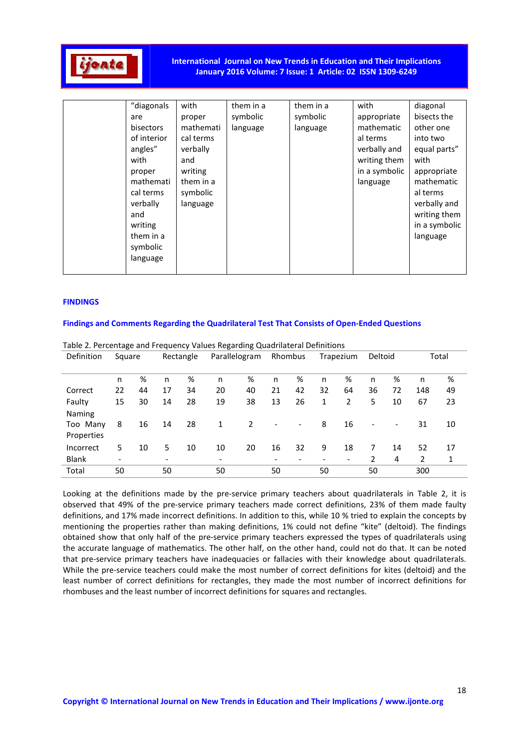

## **International Journal on New Trends in Education and Their Implications January 2016 Volume: 7 Issue: 1 Article: 02 ISSN 1309-6249**

| of interior<br>cal terms<br>al terms<br>into two<br>angles"<br>verbally and<br>equal parts"<br>verbally<br>with<br>writing them<br>with<br>and<br>in a symbolic<br>writing<br>appropriate<br>proper<br>mathemati<br>mathematic<br>them in a<br>language<br>cal terms<br>symbolic<br>al terms<br>verbally and<br>verbally<br>language<br>writing them<br>and<br>in a symbolic<br>writing<br>them in a<br>language<br>symbolic<br>language | "diagonals<br>are<br>bisectors | with<br>proper<br>mathemati | them in a<br>symbolic<br>language | them in a<br>symbolic<br>language | with<br>appropriate<br>mathematic | diagonal<br>bisects the<br>other one |
|------------------------------------------------------------------------------------------------------------------------------------------------------------------------------------------------------------------------------------------------------------------------------------------------------------------------------------------------------------------------------------------------------------------------------------------|--------------------------------|-----------------------------|-----------------------------------|-----------------------------------|-----------------------------------|--------------------------------------|
|                                                                                                                                                                                                                                                                                                                                                                                                                                          |                                |                             |                                   |                                   |                                   |                                      |

## **FINDINGS**

## **Findings and Comments Regarding the Quadrilateral Test That Consists of Open-Ended Questions**

|               | Table 2. Percentage and Frequency Values Regarding Quadrilateral Definitions |    |                          |           |                              |               |                              |                          |                              |                |                          |    |     |       |
|---------------|------------------------------------------------------------------------------|----|--------------------------|-----------|------------------------------|---------------|------------------------------|--------------------------|------------------------------|----------------|--------------------------|----|-----|-------|
| Definition    | Square                                                                       |    |                          | Rectangle |                              | Parallelogram |                              | Rhombus                  |                              | Trapezium      | Deltoid                  |    |     | Total |
|               |                                                                              |    |                          |           |                              |               |                              |                          |                              |                |                          |    |     |       |
|               | n                                                                            | %  | n                        | %         | n                            | %             | n                            | %                        | n                            | %              | n                        | %  | n   | %     |
| Correct       | 22                                                                           | 44 | 17                       | 34        | 20                           | 40            | 21                           | 42                       | 32                           | 64             | 36                       | 72 | 148 | 49    |
| Faulty        | 15                                                                           | 30 | 14                       | 28        | 19                           | 38            | 13                           | 26                       | 1                            | $\overline{2}$ | 5                        | 10 | 67  | 23    |
| <b>Naming</b> |                                                                              |    |                          |           |                              |               |                              |                          |                              |                |                          |    |     |       |
| Too Many      | 8                                                                            | 16 | 14                       | 28        | 1                            | 2             | $\overline{\phantom{a}}$     | $\overline{\phantom{a}}$ | 8                            | 16             | $\overline{\phantom{a}}$ |    | 31  | 10    |
| Properties    |                                                                              |    |                          |           |                              |               |                              |                          |                              |                |                          |    |     |       |
| Incorrect     | 5.                                                                           | 10 | 5                        | 10        | 10                           | 20            | 16                           | 32                       | 9                            | 18             | 7                        | 14 | 52  | 17    |
| <b>Blank</b>  |                                                                              |    | $\overline{\phantom{a}}$ |           | $\qquad \qquad \blacksquare$ |               | $\qquad \qquad \blacksquare$ |                          | $\qquad \qquad \blacksquare$ |                | 2                        | 4  | 2   | 1     |
| Total         | 50                                                                           |    | 50                       |           | 50                           |               | 50                           |                          | 50                           |                | 50                       |    | 300 |       |

Looking at the definitions made by the pre-service primary teachers about quadrilaterals in Table 2, it is observed that 49% of the pre-service primary teachers made correct definitions, 23% of them made faulty definitions, and 17% made incorrect definitions. In addition to this, while 10 % tried to explain the concepts by mentioning the properties rather than making definitions, 1% could not define "kite" (deltoid). The findings obtained show that only half of the pre-service primary teachers expressed the types of quadrilaterals using the accurate language of mathematics. The other half, on the other hand, could not do that. It can be noted that pre-service primary teachers have inadequacies or fallacies with their knowledge about quadrilaterals. While the pre-service teachers could make the most number of correct definitions for kites (deltoid) and the least number of correct definitions for rectangles, they made the most number of incorrect definitions for rhombuses and the least number of incorrect definitions for squares and rectangles.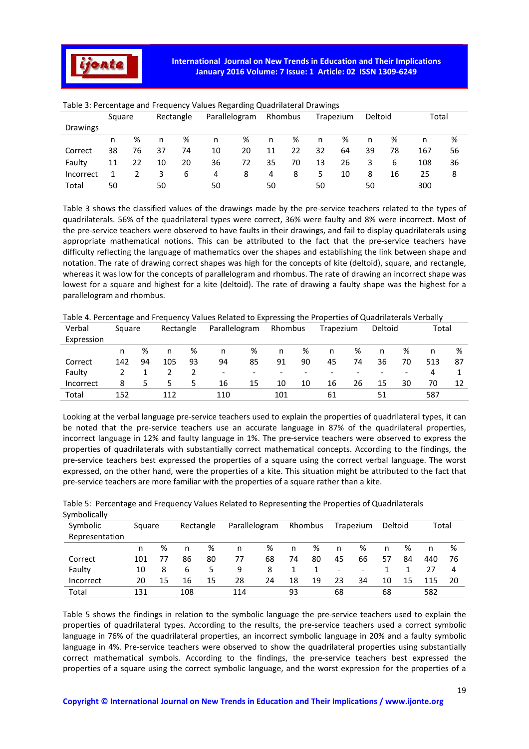

|           | Square |    | Rectangle |    | Parallelogram |    |    | Rhombus |    | Trapezium |    | Deltoid | Total |    |
|-----------|--------|----|-----------|----|---------------|----|----|---------|----|-----------|----|---------|-------|----|
| Drawings  |        |    |           |    |               |    |    |         |    |           |    |         |       |    |
|           | n      | %  | n         | %  | n             | %  | n  | %       | n  | %         | n  | %       | n     | %  |
| Correct   | 38     | 76 | 37        | 74 | 10            | 20 | 11 | 22      | 32 | 64        | 39 | 78      | 167   | 56 |
| Faulty    | 11     | 22 | 10        | 20 | 36            | 72 | 35 | 70      | 13 | 26        | 3  | 6       | 108   | 36 |
| Incorrect |        |    | 3         | 6  | 4             | 8  | 4  | 8       | 5  | 10        | 8  | 16      | 25    | 8  |
| Total     | 50     |    | 50        |    | 50            |    | 50 |         | 50 |           | 50 |         | 300   |    |

## Table 3: Percentage and Frequency Values Regarding Quadrilateral Drawings

Table 3 shows the classified values of the drawings made by the pre-service teachers related to the types of quadrilaterals. 56% of the quadrilateral types were correct, 36% were faulty and 8% were incorrect. Most of the pre-service teachers were observed to have faults in their drawings, and fail to display quadrilaterals using appropriate mathematical notions. This can be attributed to the fact that the pre-service teachers have difficulty reflecting the language of mathematics over the shapes and establishing the link between shape and notation. The rate of drawing correct shapes was high for the concepts of kite (deltoid), square, and rectangle, whereas it was low for the concepts of parallelogram and rhombus. The rate of drawing an incorrect shape was lowest for a square and highest for a kite (deltoid). The rate of drawing a faulty shape was the highest for a parallelogram and rhombus.

| Verbal     | Square |    | Rectangle |    | Parallelogram |                          |                          | Rhombus |    | Trapezium                | Deltoid |                          | Total |    |
|------------|--------|----|-----------|----|---------------|--------------------------|--------------------------|---------|----|--------------------------|---------|--------------------------|-------|----|
| Expression |        |    |           |    |               |                          |                          |         |    |                          |         |                          |       |    |
|            | n      | %  | n         | %  | n             | ℅                        | n                        | %       | n  | %                        | n       | %                        | n     | %  |
| Correct    | 142    | 94 | 105       | 93 | 94            | 85                       | 91                       | 90      | 45 | 74                       | 36      | 70                       | 513   | 87 |
| Faulty     |        |    |           |    | -             | $\overline{\phantom{0}}$ | $\overline{\phantom{0}}$ |         |    | $\overline{\phantom{a}}$ |         | $\overline{\phantom{a}}$ | 4     |    |
| Incorrect  | 8      |    | 5.        | 5. | 16            | 15                       | 10                       | 10      | 16 | 26                       | 15      | 30                       | 70    | 12 |
| Total      | 152    |    | 112       |    | 110           |                          | 101                      |         | 61 |                          | 51      |                          | 587   |    |

Table 4. Percentage and Frequency Values Related to Expressing the Properties of Quadrilaterals Verbally

Looking at the verbal language pre-service teachers used to explain the properties of quadrilateral types, it can be noted that the pre-service teachers use an accurate language in 87% of the quadrilateral properties, incorrect language in 12% and faulty language in 1%. The pre-service teachers were observed to express the properties of quadrilaterals with substantially correct mathematical concepts. According to the findings, the pre-service teachers best expressed the properties of a square using the correct verbal language. The worst expressed, on the other hand, were the properties of a kite. This situation might be attributed to the fact that pre-service teachers are more familiar with the properties of a square rather than a kite.

| Symbolically   |        |    |           |    |               |    |    |         |                          |                          |         |    |       |     |
|----------------|--------|----|-----------|----|---------------|----|----|---------|--------------------------|--------------------------|---------|----|-------|-----|
| Symbolic       | Square |    | Rectangle |    | Parallelogram |    |    | Rhombus |                          | Trapezium                | Deltoid |    | Total |     |
| Representation |        |    |           |    |               |    |    |         |                          |                          |         |    |       |     |
|                | n      | %  | n         | %  | n             | %  | n  | ℅       | n                        | %                        | n       | ℅  | n     | %   |
| Correct        | 101    |    | 86        | 80 | 77            | 68 | 74 | 80      | 45                       | 66                       | 57      | 84 | 440   | 76  |
| Faulty         | 10     | 8  | 6         | 5  | 9             | 8  |    |         | $\overline{\phantom{a}}$ | $\overline{\phantom{a}}$ |         |    | 27    | 4   |
| Incorrect      | 20     | 15 | 16        | 15 | 28            | 24 | 18 | 19      | 23                       | 34                       | 10      | 15 | 115   | -20 |
| Total          | 131    |    | 108       |    | 114           |    | 93 |         | 68                       |                          | 68      |    | 582   |     |

Table 5: Percentage and Frequency Values Related to Representing the Properties of Quadrilaterals

Table 5 shows the findings in relation to the symbolic language the pre-service teachers used to explain the properties of quadrilateral types. According to the results, the pre-service teachers used a correct symbolic language in 76% of the quadrilateral properties, an incorrect symbolic language in 20% and a faulty symbolic language in 4%. Pre-service teachers were observed to show the quadrilateral properties using substantially correct mathematical symbols. According to the findings, the pre-service teachers best expressed the properties of a square using the correct symbolic language, and the worst expression for the properties of a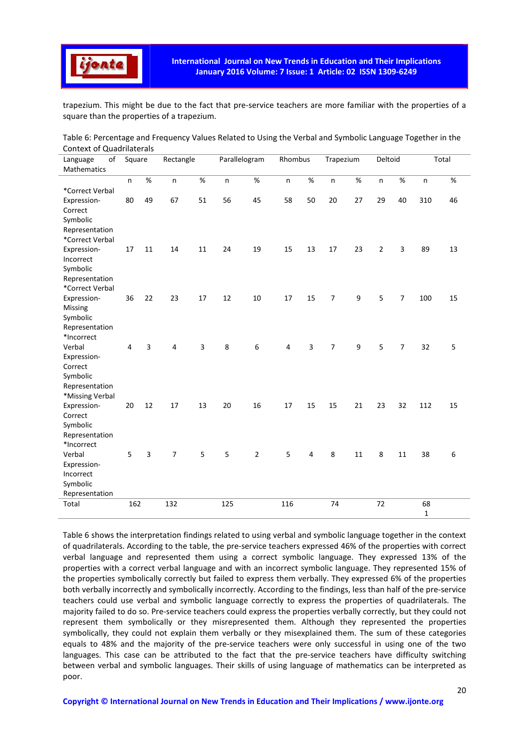

trapezium. This might be due to the fact that pre-service teachers are more familiar with the properties of a square than the properties of a trapezium.

| Table 6: Percentage and Frequency Values Related to Using the Verbal and Symbolic Language Together in the |  |
|------------------------------------------------------------------------------------------------------------|--|
| Context of Quadrilaterals                                                                                  |  |

| of<br>Language         | Square |      | Rectangle      |    | Parallelogram |                | Rhombus |                | Trapezium      |                  | Deltoid        |                |              | Total |
|------------------------|--------|------|----------------|----|---------------|----------------|---------|----------------|----------------|------------------|----------------|----------------|--------------|-------|
| Mathematics            |        |      |                |    |               |                |         |                |                |                  |                |                |              |       |
|                        | n      | $\%$ | $\mathsf{n}$   | %  | n             | %              | n       | $\%$           | n              | $\%$             | n              | $\%$           | n            | %     |
| *Correct Verbal        |        |      |                |    |               |                |         |                |                |                  |                |                |              |       |
| Expression-            | 80     | 49   | 67             | 51 | 56            | 45             | 58      | 50             | 20             | 27               | 29             | 40             | 310          | 46    |
| Correct                |        |      |                |    |               |                |         |                |                |                  |                |                |              |       |
| Symbolic               |        |      |                |    |               |                |         |                |                |                  |                |                |              |       |
| Representation         |        |      |                |    |               |                |         |                |                |                  |                |                |              |       |
| *Correct Verbal        |        |      |                |    |               |                |         |                |                |                  |                |                |              |       |
| Expression-            | 17     | 11   | 14             | 11 | 24            | 19             | 15      | 13             | 17             | 23               | $\overline{2}$ | 3              | 89           | 13    |
| Incorrect              |        |      |                |    |               |                |         |                |                |                  |                |                |              |       |
| Symbolic               |        |      |                |    |               |                |         |                |                |                  |                |                |              |       |
| Representation         |        |      |                |    |               |                |         |                |                |                  |                |                |              |       |
| *Correct Verbal        |        |      |                |    |               |                |         |                |                |                  |                |                |              |       |
| Expression-            | 36     | 22   | 23             | 17 | 12            | 10             | 17      | 15             | $\overline{7}$ | 9                | 5              | $\overline{7}$ | 100          | 15    |
| Missing                |        |      |                |    |               |                |         |                |                |                  |                |                |              |       |
| Symbolic               |        |      |                |    |               |                |         |                |                |                  |                |                |              |       |
| Representation         |        |      |                |    |               |                |         |                |                |                  |                |                |              |       |
| *Incorrect             | 4      |      | 4              |    |               |                |         |                |                |                  |                |                |              |       |
| Verbal                 |        | 3    |                | 3  | $\,$ 8 $\,$   | 6              | 4       | $\overline{3}$ | $\overline{7}$ | $\boldsymbol{9}$ | 5              | $\overline{7}$ | 32           | 5     |
| Expression-<br>Correct |        |      |                |    |               |                |         |                |                |                  |                |                |              |       |
| Symbolic               |        |      |                |    |               |                |         |                |                |                  |                |                |              |       |
| Representation         |        |      |                |    |               |                |         |                |                |                  |                |                |              |       |
| *Missing Verbal        |        |      |                |    |               |                |         |                |                |                  |                |                |              |       |
| Expression-            | 20     | 12   | $17\,$         | 13 | $20\,$        | 16             | $17\,$  | 15             | 15             | 21               | 23             | 32             | 112          | 15    |
| Correct                |        |      |                |    |               |                |         |                |                |                  |                |                |              |       |
| Symbolic               |        |      |                |    |               |                |         |                |                |                  |                |                |              |       |
| Representation         |        |      |                |    |               |                |         |                |                |                  |                |                |              |       |
| *Incorrect             |        |      |                |    |               |                |         |                |                |                  |                |                |              |       |
| Verbal                 | 5      | 3    | $\overline{7}$ | 5  | 5             | $\overline{2}$ | 5       | 4              | 8              | 11               | 8              | 11             | 38           | 6     |
| Expression-            |        |      |                |    |               |                |         |                |                |                  |                |                |              |       |
| Incorrect              |        |      |                |    |               |                |         |                |                |                  |                |                |              |       |
| Symbolic               |        |      |                |    |               |                |         |                |                |                  |                |                |              |       |
| Representation         |        |      |                |    |               |                |         |                |                |                  |                |                |              |       |
| Total                  | 162    |      | 132            |    | 125           |                | 116     |                | 74             |                  | 72             |                | 68           |       |
|                        |        |      |                |    |               |                |         |                |                |                  |                |                | $\mathbf{1}$ |       |

Table 6 shows the interpretation findings related to using verbal and symbolic language together in the context of quadrilaterals. According to the table, the pre-service teachers expressed 46% of the properties with correct verbal language and represented them using a correct symbolic language. They expressed 13% of the properties with a correct verbal language and with an incorrect symbolic language. They represented 15% of the properties symbolically correctly but failed to express them verbally. They expressed 6% of the properties both verbally incorrectly and symbolically incorrectly. According to the findings, less than half of the pre-service teachers could use verbal and symbolic language correctly to express the properties of quadrilaterals. The majority failed to do so. Pre-service teachers could express the properties verbally correctly, but they could not represent them symbolically or they misrepresented them. Although they represented the properties symbolically, they could not explain them verbally or they misexplained them. The sum of these categories equals to 48% and the majority of the pre-service teachers were only successful in using one of the two languages. This case can be attributed to the fact that the pre-service teachers have difficulty switching between verbal and symbolic languages. Their skills of using language of mathematics can be interpreted as poor.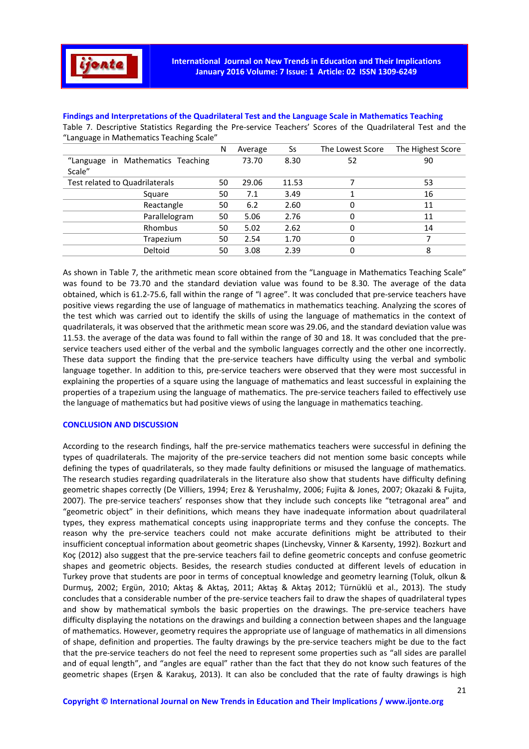

**Findings and Interpretations of the Quadrilateral Test and the Language Scale in Mathematics Teaching**  Table 7. Descriptive Statistics Regarding the Pre-service Teachers' Scores of the Quadrilateral Test and the "Language in Mathematics Teaching Scale"

|                                   | N  | Average | Ss    | The Lowest Score | The Highest Score |
|-----------------------------------|----|---------|-------|------------------|-------------------|
| "Language in Mathematics Teaching |    | 73.70   | 8.30  | 52               | 90                |
| Scale"                            |    |         |       |                  |                   |
| Test related to Quadrilaterals    | 50 | 29.06   | 11.53 |                  | 53                |
| Square                            | 50 | 7.1     | 3.49  |                  | 16                |
| Reactangle                        | 50 | 6.2     | 2.60  | 0                | 11                |
| Parallelogram                     | 50 | 5.06    | 2.76  | 0                | 11                |
| Rhombus                           | 50 | 5.02    | 2.62  | 0                | 14                |
| Trapezium                         | 50 | 2.54    | 1.70  | 0                |                   |
| Deltoid                           | 50 | 3.08    | 2.39  | 0                | 8                 |

As shown in Table 7, the arithmetic mean score obtained from the "Language in Mathematics Teaching Scale" was found to be 73.70 and the standard deviation value was found to be 8.30. The average of the data obtained, which is 61.2-75.6, fall within the range of "I agree". It was concluded that pre-service teachers have positive views regarding the use of language of mathematics in mathematics teaching. Analyzing the scores of the test which was carried out to identify the skills of using the language of mathematics in the context of quadrilaterals, it was observed that the arithmetic mean score was 29.06, and the standard deviation value was 11.53. the average of the data was found to fall within the range of 30 and 18. It was concluded that the preservice teachers used either of the verbal and the symbolic languages correctly and the other one incorrectly. These data support the finding that the pre-service teachers have difficulty using the verbal and symbolic language together. In addition to this, pre-service teachers were observed that they were most successful in explaining the properties of a square using the language of mathematics and least successful in explaining the properties of a trapezium using the language of mathematics. The pre-service teachers failed to effectively use the language of mathematics but had positive views of using the language in mathematics teaching.

#### **CONCLUSION AND DISCUSSION**

According to the research findings, half the pre-service mathematics teachers were successful in defining the types of quadrilaterals. The majority of the pre-service teachers did not mention some basic concepts while defining the types of quadrilaterals, so they made faulty definitions or misused the language of mathematics. The research studies regarding quadrilaterals in the literature also show that students have difficulty defining geometric shapes correctly (De Villiers, 1994; Erez & Yerushalmy, 2006; Fujita & Jones, 2007; Okazaki & Fujita, 2007). The pre-service teachers' responses show that they include such concepts like "tetragonal area" and "geometric object" in their definitions, which means they have inadequate information about quadrilateral types, they express mathematical concepts using inappropriate terms and they confuse the concepts. The reason why the pre-service teachers could not make accurate definitions might be attributed to their insufficient conceptual information about geometric shapes (Linchevsky, Vinner & Karsenty, 1992). Bozkurt and Koç (2012) also suggest that the pre-service teachers fail to define geometric concepts and confuse geometric shapes and geometric objects. Besides, the research studies conducted at different levels of education in Turkey prove that students are poor in terms of conceptual knowledge and geometry learning (Toluk, olkun & Durmuş, 2002; Ergün, 2010; Aktaş & Aktaş, 2011; Aktaş & Aktaş 2012; Türnüklü et al., 2013). The study concludes that a considerable number of the pre-service teachers fail to draw the shapes of quadrilateral types and show by mathematical symbols the basic properties on the drawings. The pre-service teachers have difficulty displaying the notations on the drawings and building a connection between shapes and the language of mathematics. However, geometry requires the appropriate use of language of mathematics in all dimensions of shape, definition and properties. The faulty drawings by the pre-service teachers might be due to the fact that the pre-service teachers do not feel the need to represent some properties such as "all sides are parallel and of equal length", and "angles are equal" rather than the fact that they do not know such features of the geometric shapes (Erşen & Karakuş, 2013). It can also be concluded that the rate of faulty drawings is high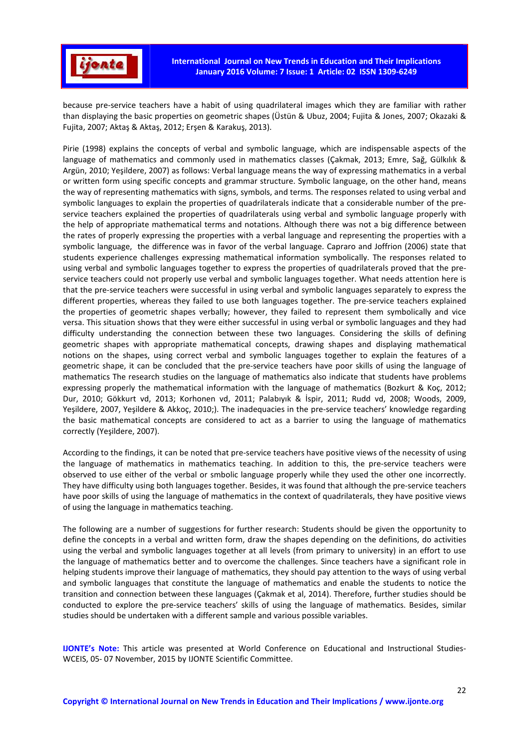

because pre-service teachers have a habit of using quadrilateral images which they are familiar with rather than displaying the basic properties on geometric shapes (Üstün & Ubuz, 2004; Fujita & Jones, 2007; Okazaki & Fujita, 2007; Aktaş & Aktaş, 2012; Erşen & Karakuş, 2013).

Pirie (1998) explains the concepts of verbal and symbolic language, which are indispensable aspects of the language of mathematics and commonly used in mathematics classes (Çakmak, 2013; Emre, Sağ, Gülkılık & Argün, 2010; Yeşildere, 2007) as follows: Verbal language means the way of expressing mathematics in a verbal or written form using specific concepts and grammar structure. Symbolic language, on the other hand, means the way of representing mathematics with signs, symbols, and terms. The responses related to using verbal and symbolic languages to explain the properties of quadrilaterals indicate that a considerable number of the preservice teachers explained the properties of quadrilaterals using verbal and symbolic language properly with the help of appropriate mathematical terms and notations. Although there was not a big difference between the rates of properly expressing the properties with a verbal language and representing the properties with a symbolic language, the difference was in favor of the verbal language. Capraro and Joffrion (2006) state that students experience challenges expressing mathematical information symbolically. The responses related to using verbal and symbolic languages together to express the properties of quadrilaterals proved that the preservice teachers could not properly use verbal and symbolic languages together. What needs attention here is that the pre-service teachers were successful in using verbal and symbolic languages separately to express the different properties, whereas they failed to use both languages together. The pre-service teachers explained the properties of geometric shapes verbally; however, they failed to represent them symbolically and vice versa. This situation shows that they were either successful in using verbal or symbolic languages and they had difficulty understanding the connection between these two languages. Considering the skills of defining geometric shapes with appropriate mathematical concepts, drawing shapes and displaying mathematical notions on the shapes, using correct verbal and symbolic languages together to explain the features of a geometric shape, it can be concluded that the pre-service teachers have poor skills of using the language of mathematics The research studies on the language of mathematics also indicate that students have problems expressing properly the mathematical information with the language of mathematics (Bozkurt & Koç, 2012; Dur, 2010; Gökkurt vd, 2013; Korhonen vd, 2011; Palabıyık & İspir, 2011; Rudd vd, 2008; Woods, 2009, Yeşildere, 2007, Yeşildere & Akkoç, 2010;). The inadequacies in the pre-service teachers' knowledge regarding the basic mathematical concepts are considered to act as a barrier to using the language of mathematics correctly (Yeşildere, 2007).

According to the findings, it can be noted that pre-service teachers have positive views of the necessity of using the language of mathematics in mathematics teaching. In addition to this, the pre-service teachers were observed to use either of the verbal or smbolic language properly while they used the other one incorrectly. They have difficulty using both languages together. Besides, it was found that although the pre-service teachers have poor skills of using the language of mathematics in the context of quadrilaterals, they have positive views of using the language in mathematics teaching.

The following are a number of suggestions for further research: Students should be given the opportunity to define the concepts in a verbal and written form, draw the shapes depending on the definitions, do activities using the verbal and symbolic languages together at all levels (from primary to university) in an effort to use the language of mathematics better and to overcome the challenges. Since teachers have a significant role in helping students improve their language of mathematics, they should pay attention to the ways of using verbal and symbolic languages that constitute the language of mathematics and enable the students to notice the transition and connection between these languages (Çakmak et al, 2014). Therefore, further studies should be conducted to explore the pre-service teachers' skills of using the language of mathematics. Besides, similar studies should be undertaken with a different sample and various possible variables.

**IJONTE's Note:** This article was presented at World Conference on Educational and Instructional Studies-WCEIS, 05- 07 November, 2015 by IJONTE Scientific Committee.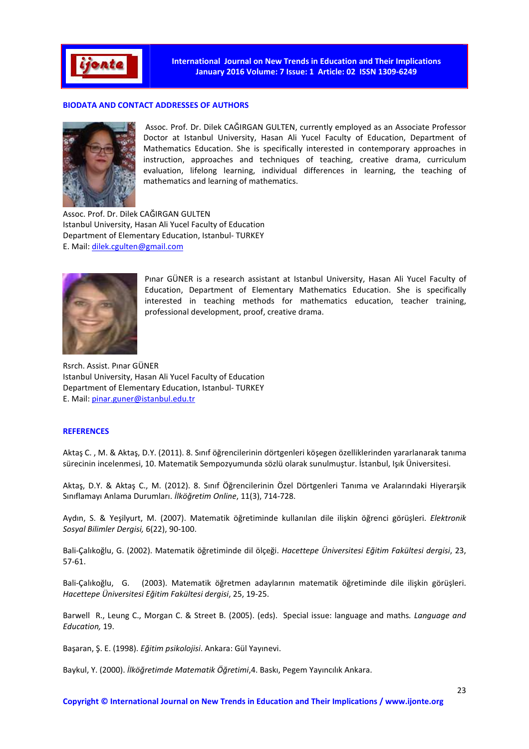

## **BIODATA AND CONTACT ADDRESSES OF AUTHORS**



 Assoc. Prof. Dr. Dilek CAĞIRGAN GULTEN, currently employed as an Associate Professor Doctor at Istanbul University, Hasan Ali Yucel Faculty of Education, Department of Mathematics Education. She is specifically interested in contemporary approaches in instruction, approaches and techniques of teaching, creative drama, curriculum evaluation, lifelong learning, individual differences in learning, the teaching of mathematics and learning of mathematics.

Assoc. Prof. Dr. Dilek CAĞIRGAN GULTEN Istanbul University, Hasan Ali Yucel Faculty of Education Department of Elementary Education, Istanbul- TURKEY E. Mail: dilek.cgulten@gmail.com



Pınar GÜNER is a research assistant at Istanbul University, Hasan Ali Yucel Faculty of Education, Department of Elementary Mathematics Education. She is specifically interested in teaching methods for mathematics education, teacher training, professional development, proof, creative drama.

Rsrch. Assist. Pınar GÜNER Istanbul University, Hasan Ali Yucel Faculty of Education Department of Elementary Education, Istanbul- TURKEY E. Mail: pinar.guner@istanbul.edu.tr

#### **REFERENCES**

Aktaş C. , M. & Aktaş, D.Y. (2011). 8. Sınıf öğrencilerinin dörtgenleri köşegen özelliklerinden yararlanarak tanıma sürecinin incelenmesi, 10. Matematik Sempozyumunda sözlü olarak sunulmuştur. İstanbul, Işık Üniversitesi.

Aktaş, D.Y. & Aktaş C., M. (2012). 8. Sınıf Öğrencilerinin Özel Dörtgenleri Tanıma ve Aralarındaki Hiyerarşik Sınıflamayı Anlama Durumları. *İlköğretim Online*, 11(3), 714-728.

Aydın, S. & Yeşilyurt, M. (2007). Matematik öğretiminde kullanılan dile ilişkin öğrenci görüşleri. *Elektronik Sosyal Bilimler Dergisi,* 6(22), 90-100.

Bali-Çalıkoğlu, G. (2002). Matematik öğretiminde dil ölçeği. *Hacettepe Üniversitesi Eğitim Fakültesi dergisi*, 23, 57-61.

Bali-Çalıkoğlu, G. (2003). Matematik öğretmen adaylarının matematik öğretiminde dile ilişkin görüşleri. *Hacettepe Üniversitesi Eğitim Fakültesi dergisi*, 25, 19-25.

Barwell R., Leung C., Morgan C. & Street B. (2005). (eds). Special issue: language and maths*. Language and Education,* 19.

Başaran, Ş. E. (1998). *Eğitim psikolojisi*. Ankara: Gül Yayınevi.

Baykul, Y. (2000). *İlköğretimde Matematik Öğretimi*,4. Baskı, Pegem Yayıncılık Ankara.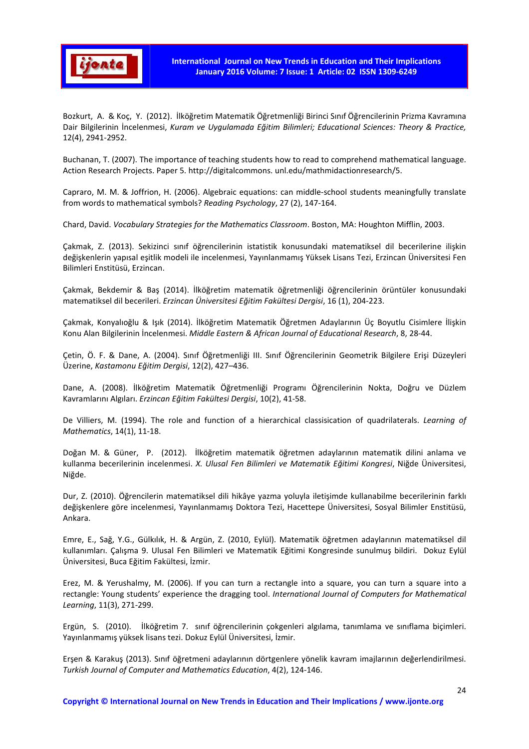

Bozkurt, A. & Koç, Y. (2012). İlköğretim Matematik Öğretmenliği Birinci Sınıf Öğrencilerinin Prizma Kavramına Dair Bilgilerinin İncelenmesi, *Kuram ve Uygulamada Eğitim Bilimleri; Educational Sciences: Theory & Practice,* 12(4), 2941-2952.

Buchanan, T. (2007). The importance of teaching students how to read to comprehend mathematical language. Action Research Projects. Paper 5. http://digitalcommons. unl.edu/mathmidactionresearch/5.

Capraro, M. M. & Joffrion, H. (2006). Algebraic equations: can middle-school students meaningfully translate from words to mathematical symbols? *Reading Psychology*, 27 (2), 147-164.

Chard, David. *Vocabulary Strategies for the Mathematics Classroom*. Boston, MA: Houghton Mifflin, 2003.

Çakmak, Z. (2013). Sekizinci sınıf öğrencilerinin istatistik konusundaki matematiksel dil becerilerine ilişkin değişkenlerin yapısal eşitlik modeli ile incelenmesi, Yayınlanmamış Yüksek Lisans Tezi, Erzincan Üniversitesi Fen Bilimleri Enstitüsü, Erzincan.

Çakmak, Bekdemir & Baş (2014). İlköğretim matematik öğretmenliği öğrencilerinin örüntüler konusundaki matematiksel dil becerileri. *Erzincan Üniversitesi Eğitim Fakültesi Dergisi*, 16 (1), 204-223.

Çakmak, Konyalıoğlu & Işık (2014). İlköğretim Matematik Öğretmen Adaylarının Üç Boyutlu Cisimlere İlişkin Konu Alan Bilgilerinin İncelenmesi. *Middle Eastern & African Journal of Educational Research*, 8, 28-44.

Çetin, Ö. F. & Dane, A. (2004). Sınıf Öğretmenliği III. Sınıf Öğrencilerinin Geometrik Bilgilere Erişi Düzeyleri Üzerine, *Kastamonu Eğitim Dergisi*, 12(2), 427–436.

Dane, A. (2008). İlköğretim Matematik Öğretmenliği Programı Öğrencilerinin Nokta, Doğru ve Düzlem Kavramlarını Algıları. *Erzincan Eğitim Fakültesi Dergisi*, 10(2), 41-58.

De Villiers, M. (1994). The role and function of a hierarchical classisication of quadrilaterals. *Learning of Mathematics*, 14(1), 11-18.

Doğan M. & Güner, P. (2012). İlköğretim matematik öğretmen adaylarının matematik dilini anlama ve kullanma becerilerinin incelenmesi. *X. Ulusal Fen Bilimleri ve Matematik Eğitimi Kongresi*, Niğde Üniversitesi, Niğde.

Dur, Z. (2010). Öğrencilerin matematiksel dili hikâye yazma yoluyla iletişimde kullanabilme becerilerinin farklı değişkenlere göre incelenmesi, Yayınlanmamış Doktora Tezi, Hacettepe Üniversitesi, Sosyal Bilimler Enstitüsü, Ankara.

Emre, E., Sağ, Y.G., Gülkılık, H. & Argün, Z. (2010, Eylül). Matematik öğretmen adaylarının matematiksel dil kullanımları. Çalışma 9. Ulusal Fen Bilimleri ve Matematik Eğitimi Kongresinde sunulmuş bildiri. Dokuz Eylül Üniversitesi, Buca Eğitim Fakültesi, İzmir.

Erez, M. & Yerushalmy, M. (2006). If you can turn a rectangle into a square, you can turn a square into a rectangle: Young students' experience the dragging tool. *International Journal of Computers for Mathematical Learning*, 11(3), 271-299.

Ergün, S. (2010). İlköğretim 7. sınıf öğrencilerinin çokgenleri algılama, tanımlama ve sınıflama biçimleri. Yayınlanmamış yüksek lisans tezi. Dokuz Eylül Üniversitesi, İzmir.

Erşen & Karakuş (2013). Sınıf öğretmeni adaylarının dörtgenlere yönelik kavram imajlarının değerlendirilmesi. *Turkish Journal of Computer and Mathematics Education*, 4(2), 124-146.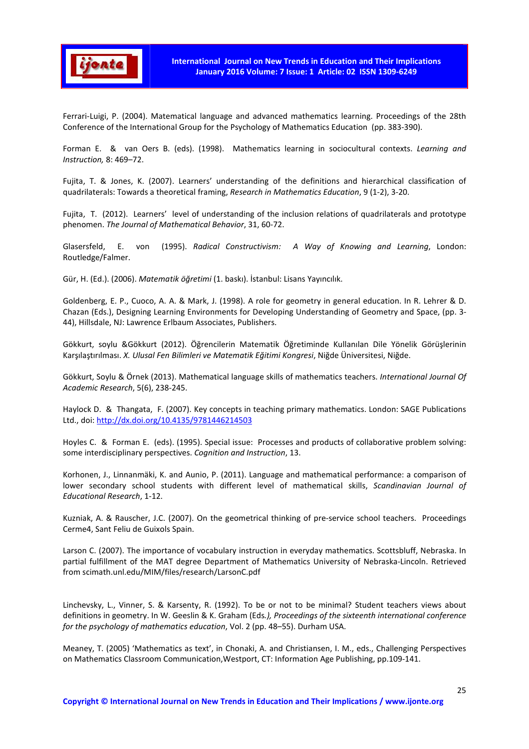

Ferrari-Luigi, P. (2004). Matematical language and advanced mathematics learning. Proceedings of the 28th Conference of the International Group for the Psychology of Mathematics Education (pp. 383-390).

Forman E. & van Oers B. (eds). (1998). Mathematics learning in sociocultural contexts. *Learning and Instruction,* 8: 469–72.

Fujita, T. & Jones, K. (2007). Learners' understanding of the definitions and hierarchical classification of quadrilaterals: Towards a theoretical framing, *Research in Mathematics Education*, 9 (1-2), 3-20.

Fujita, T. (2012). Learners' level of understanding of the inclusion relations of quadrilaterals and prototype phenomen. *The Journal of Mathematical Behavior*, 31, 60-72.

Glasersfeld, E. von (1995). *Radical Constructivism: A Way of Knowing and Learning*, London: Routledge/Falmer.

Gür, H. (Ed.). (2006). *Matematik öğretimi* (1. baskı). İstanbul: Lisans Yayıncılık.

Goldenberg, E. P., Cuoco, A. A. & Mark, J. (1998). A role for geometry in general education. In R. Lehrer & D. Chazan (Eds.), Designing Learning Environments for Developing Understanding of Geometry and Space, (pp. 3- 44), Hillsdale, NJ: Lawrence Erlbaum Associates, Publishers.

Gökkurt, soylu &Gökkurt (2012). Öğrencilerin Matematik Öğretiminde Kullanılan Dile Yönelik Görüşlerinin Karşılaştırılması. *X. Ulusal Fen Bilimleri ve Matematik Eğitimi Kongresi*, Niğde Üniversitesi, Niğde.

Gökkurt, Soylu & Örnek (2013). Mathematical language skills of mathematics teachers. *International Journal Of Academic Research*, 5(6), 238-245.

Haylock D. & Thangata, F. (2007). Key concepts in teaching primary mathematics. London: SAGE Publications Ltd., doi: http://dx.doi.org/10.4135/9781446214503

Hoyles C. & Forman E. (eds). (1995). Special issue: Processes and products of collaborative problem solving: some interdisciplinary perspectives. *Cognition and Instruction*, 13.

Korhonen, J., Linnanmäki, K. and Aunio, P. (2011). Language and mathematical performance: a comparison of lower secondary school students with different level of mathematical skills, *Scandinavian Journal of Educational Research*, 1-12.

Kuzniak, A. & Rauscher, J.C. (2007). On the geometrical thinking of pre-service school teachers. Proceedings Cerme4, Sant Feliu de Guixols Spain.

Larson C. (2007). The importance of vocabulary instruction in everyday mathematics. Scottsbluff, Nebraska. In partial fulfillment of the MAT degree Department of Mathematics University of Nebraska-Lincoln. Retrieved from scimath.unl.edu/MIM/files/research/LarsonC.pdf

Linchevsky, L., Vinner, S. & Karsenty, R. (1992). To be or not to be minimal? Student teachers views about definitions in geometry. In W. Geeslin & K. Graham (Eds*.), Proceedings of the sixteenth international conference for the psychology of mathematics education*, Vol. 2 (pp. 48–55). Durham USA.

Meaney, T. (2005) 'Mathematics as text', in Chonaki, A. and Christiansen, I. M., eds., Challenging Perspectives on Mathematics Classroom Communication,Westport, CT: Information Age Publishing, pp.109-141.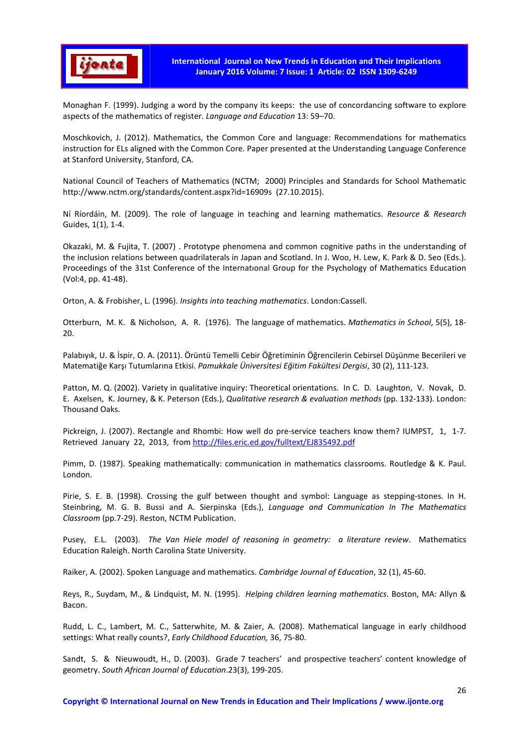

Monaghan F. (1999). Judging a word by the company its keeps: the use of concordancing software to explore aspects of the mathematics of register. *Language and Education* 13: 59–70.

Moschkovich, J. (2012). Mathematics, the Common Core and language: Recommendations for mathematics instruction for ELs aligned with the Common Core. Paper presented at the Understanding Language Conference at Stanford University, Stanford, CA.

National Council of Teachers of Mathematics (NCTM; 2000) Principles and Standards for School Mathematic http://www.nctm.org/standards/content.aspx?id=16909s (27.10.2015).

Ní Ríordáin, M. (2009). The role of language in teaching and learning mathematics. *Resource & Research* Guides, 1(1), 1-4.

Okazaki, M. & Fujita, T. (2007) . Prototype phenomena and common cognitive paths in the understanding of the inclusion relations between quadrilaterals in Japan and Scotland. In J. Woo, H. Lew, K. Park & D. Seo (Eds.). Proceedings of the 31st Conference of the Internatıonal Group for the Psychology of Mathematics Education (Vol:4, pp. 41-48).

Orton, A. & Frobisher, L. (1996). *Insights into teaching mathematics*. London:Cassell.

Otterburn, M. K. & Nicholson, A. R. (1976). The language of mathematics. *Mathematics in School*, 5(5), 18- 20.

Palabıyık, U. & İspir, O. A. (2011). Örüntü Temelli Cebir Öğretiminin Öğrencilerin Cebirsel Düşünme Becerileri ve Matematiğe Karşı Tutumlarına Etkisi. *Pamukkale Üniversitesi Eğitim Fakültesi Dergisi*, 30 (2), 111-123.

Patton, M. Q. (2002). Variety in qualitative inquiry: Theoretical orientations. In C. D. Laughton, V. Novak, D. E. Axelsen, K. Journey, & K. Peterson (Eds.), *Qualitative research & evaluation methods* (pp. 132-133). London: Thousand Oaks.

Pickreign, J. (2007). Rectangle and Rhombi: How well do pre-service teachers know them? IUMPST, 1, 1-7. Retrieved January 22, 2013, from http://files.eric.ed.gov/fulltext/EJ835492.pdf

Pimm, D. (1987). Speaking mathematically: communication in mathematics classrooms. Routledge & K. Paul. London.

Pirie, S. E. B. (1998). Crossing the gulf between thought and symbol: Language as stepping-stones. In H. Steinbring, M. G. B. Bussi and A. Sierpinska (Eds.), *Language and Communication In The Mathematics Classroom* (pp.7-29). Reston, NCTM Publication.

Pusey, E.L. (2003). *The Van Hiele model of reasoning in geometry: a literature review*. Mathematics Education Raleigh. North Carolina State University.

Raiker, A. (2002). Spoken Language and mathematics. *Cambridge Journal of Education*, 32 (1), 45-60.

Reys, R., Suydam, M., & Lindquist, M. N. (1995). *Helping children learning mathematics*. Boston, MA: Allyn & Bacon.

Rudd, L. C., Lambert, M. C., Satterwhite, M. & Zaier, A. (2008). Mathematical language in early childhood settings: What really counts?, *Early Childhood Education,* 36, 75-80.

Sandt, S. & Nieuwoudt, H., D. (2003). Grade 7 teachers' and prospective teachers' content knowledge of geometry. *South African Journal of Education*.23(3), 199-205.